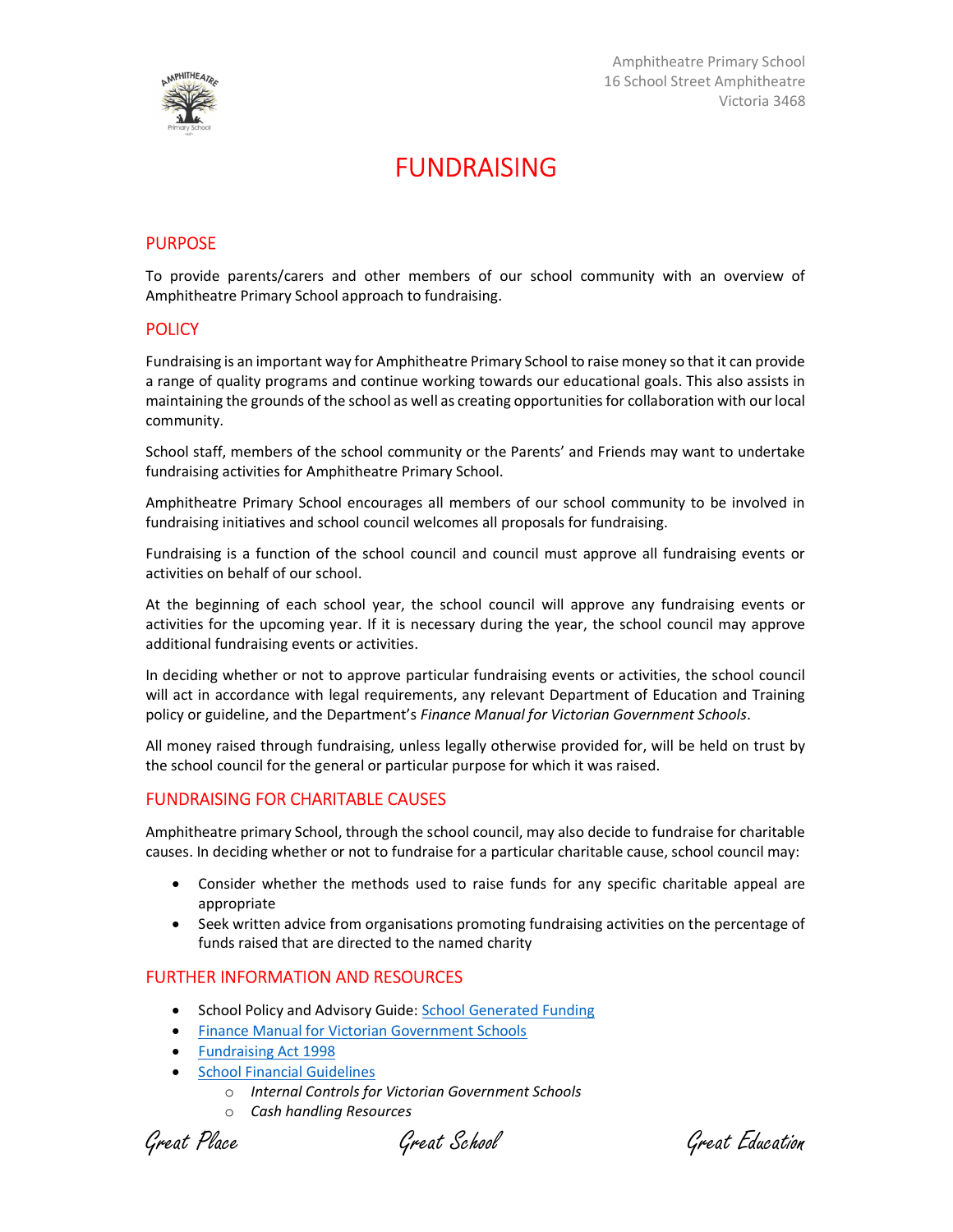

## FUNDRAISING

# **PURPOSE**

To provide parents/carers and other members of our school community with an overview of Amphitheatre Primary School approach to fundraising.

#### **POLICY**

Fundraising is an important way for Amphitheatre Primary School to raise money so that it can provide a range of quality programs and continue working towards our educational goals. This also assists in maintaining the grounds of the school as well as creating opportunities for collaboration with our local community.

School staff, members of the school community or the Parents' and Friends may want to undertake fundraising activities for Amphitheatre Primary School.

Amphitheatre Primary School encourages all members of our school community to be involved in fundraising initiatives and school council welcomes all proposals for fundraising.

Fundraising is a function of the school council and council must approve all fundraising events or activities on behalf of our school.

At the beginning of each school year, the school council will approve any fundraising events or activities for the upcoming year. If it is necessary during the year, the school council may approve additional fundraising events or activities.

In deciding whether or not to approve particular fundraising events or activities, the school council will act in accordance with legal requirements, any relevant Department of Education and Training policy or guideline, and the Department's Finance Manual for Victorian Government Schools.

All money raised through fundraising, unless legally otherwise provided for, will be held on trust by the school council for the general or particular purpose for which it was raised.

#### FUNDRAISING FOR CHARITABLE CAUSES

Amphitheatre primary School, through the school council, may also decide to fundraise for charitable causes. In deciding whether or not to fundraise for a particular charitable cause, school council may:

- Consider whether the methods used to raise funds for any specific charitable appeal are appropriate
- Seek written advice from organisations promoting fundraising activities on the percentage of funds raised that are directed to the named charity

#### FURTHER INFORMATION AND RESOURCES

- School Policy and Advisory Guide: School Generated Funding
- Finance Manual for Victorian Government Schools
- Fundraising Act 1998
- School Financial Guidelines
	- o Internal Controls for Victorian Government Schools
	- o Cash handling Resources

Great Place Great School Great Education